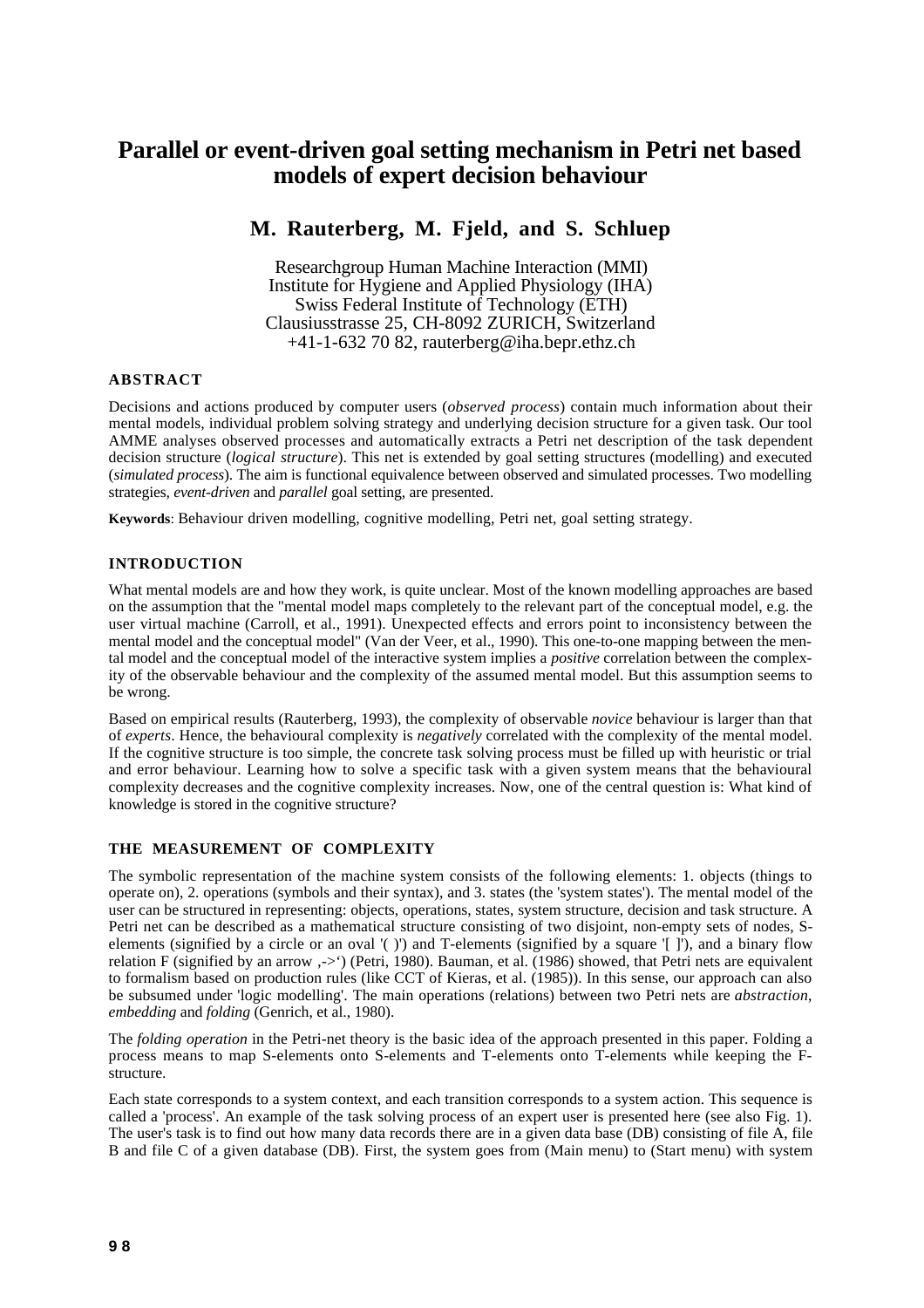# **Parallel or event-driven goal setting mechanism in Petri net based models of expert decision behaviour**

## **M. Rauterberg, M. Fjeld, and S. Schluep**

Researchgroup Human Machine Interaction (MMI) Institute for Hygiene and Applied Physiology (IHA) Swiss Federal Institute of Technology (ETH) Clausiusstrasse 25, CH-8092 ZURICH, Switzerland +41-1-632 70 82, rauterberg@iha.bepr.ethz.ch

## **ABSTRACT**

Decisions and actions produced by computer users (*observed process*) contain much information about their mental models, individual problem solving strategy and underlying decision structure for a given task. Our tool AMME analyses observed processes and automatically extracts a Petri net description of the task dependent decision structure (*logical structure*). This net is extended by goal setting structures (modelling) and executed (*simulated process*). The aim is functional equivalence between observed and simulated processes. Two modelling strategies, *event-driven* and *parallel* goal setting, are presented.

**Keywords**: Behaviour driven modelling, cognitive modelling, Petri net, goal setting strategy.

## **INTRODUCTION**

What mental models are and how they work, is quite unclear. Most of the known modelling approaches are based on the assumption that the "mental model maps completely to the relevant part of the conceptual model, e.g. the user virtual machine (Carroll, et al., 1991). Unexpected effects and errors point to inconsistency between the mental model and the conceptual model" (Van der Veer, et al., 1990). This one-to-one mapping between the mental model and the conceptual model of the interactive system implies a *positive* correlation between the complexity of the observable behaviour and the complexity of the assumed mental model. But this assumption seems to be wrong.

Based on empirical results (Rauterberg, 1993), the complexity of observable *novice* behaviour is larger than that of *experts*. Hence, the behavioural complexity is *negatively* correlated with the complexity of the mental model. If the cognitive structure is too simple, the concrete task solving process must be filled up with heuristic or trial and error behaviour. Learning how to solve a specific task with a given system means that the behavioural complexity decreases and the cognitive complexity increases. Now, one of the central question is: What kind of knowledge is stored in the cognitive structure?

### **THE MEASUREMENT OF COMPLEXITY**

The symbolic representation of the machine system consists of the following elements: 1. objects (things to operate on), 2. operations (symbols and their syntax), and 3. states (the 'system states'). The mental model of the user can be structured in representing: objects, operations, states, system structure, decision and task structure. A Petri net can be described as a mathematical structure consisting of two disjoint, non-empty sets of nodes, Selements (signified by a circle or an oval '( )') and T-elements (signified by a square '[ ]'), and a binary flow relation F (signified by an arrow .->') (Petri, 1980). Bauman, et al. (1986) showed, that Petri nets are equivalent to formalism based on production rules (like CCT of Kieras, et al. (1985)). In this sense, our approach can also be subsumed under 'logic modelling'. The main operations (relations) between two Petri nets are *abstraction*, *embedding* and *folding* (Genrich, et al., 1980).

The *folding operation* in the Petri-net theory is the basic idea of the approach presented in this paper. Folding a process means to map S-elements onto S-elements and T-elements onto T-elements while keeping the Fstructure.

Each state corresponds to a system context, and each transition corresponds to a system action. This sequence is called a 'process'. An example of the task solving process of an expert user is presented here (see also Fig. 1). The user's task is to find out how many data records there are in a given data base (DB) consisting of file A, file B and file C of a given database (DB). First, the system goes from (Main menu) to (Start menu) with system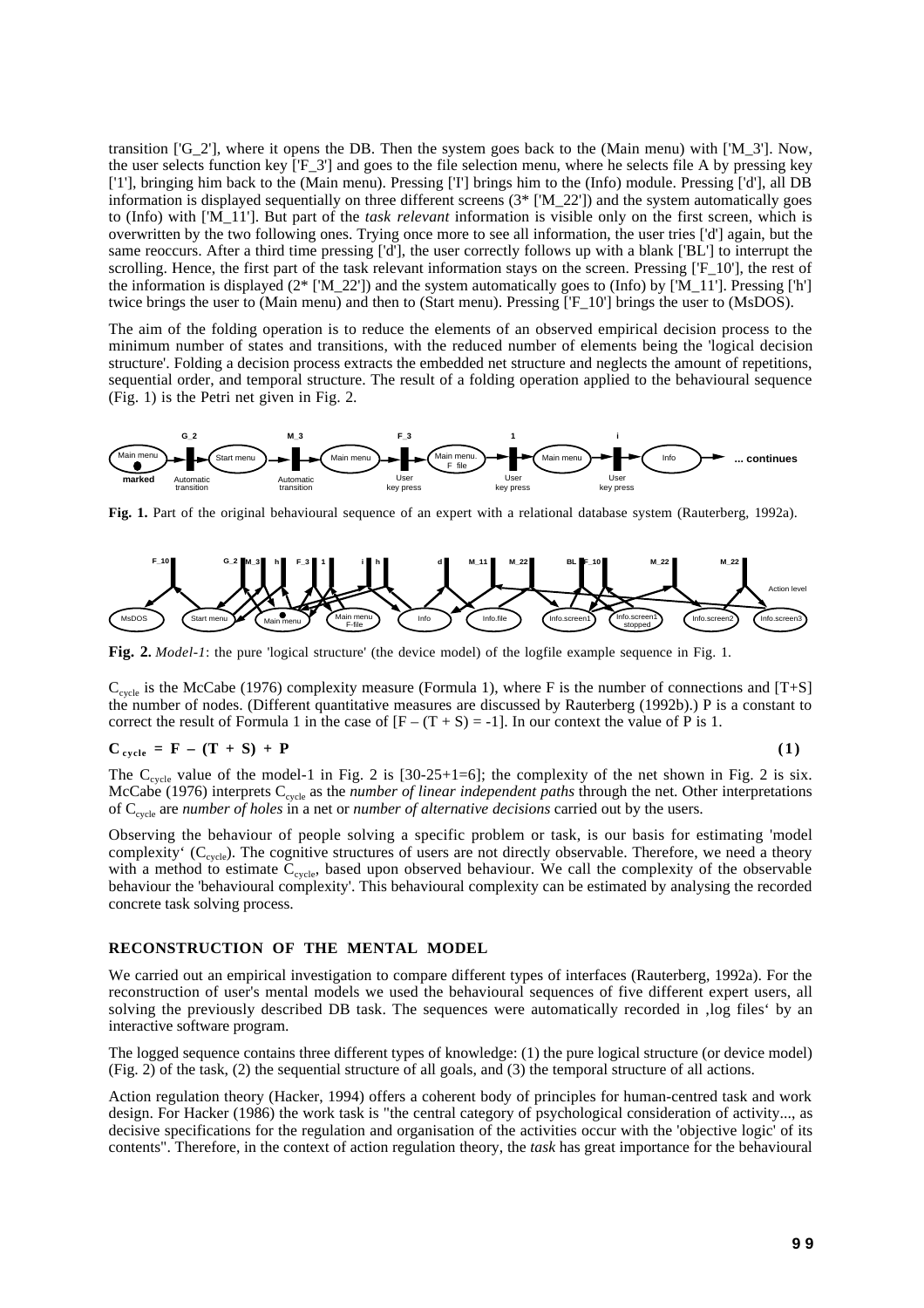transition ['G\_2'], where it opens the DB. Then the system goes back to the (Main menu) with ['M\_3']. Now, the user selects function key ['F\_3'] and goes to the file selection menu, where he selects file A by pressing key ['1'], bringing him back to the (Main menu). Pressing ['I'] brings him to the (Info) module. Pressing ['d'], all DB information is displayed sequentially on three different screens  $(3^*$  ['M\_22']) and the system automatically goes to (Info) with ['M\_11']. But part of the *task relevant* information is visible only on the first screen, which is overwritten by the two following ones. Trying once more to see all information, the user tries ['d'] again, but the same reoccurs. After a third time pressing ['d'], the user correctly follows up with a blank ['BL'] to interrupt the scrolling. Hence, the first part of the task relevant information stays on the screen. Pressing ['F\_10'], the rest of the information is displayed ( $2^*$  ['M\_22']) and the system automatically goes to (Info) by ['M\_11']. Pressing ['h'] twice brings the user to (Main menu) and then to (Start menu). Pressing ['F\_10'] brings the user to (MsDOS).

The aim of the folding operation is to reduce the elements of an observed empirical decision process to the minimum number of states and transitions, with the reduced number of elements being the 'logical decision structure'. Folding a decision process extracts the embedded net structure and neglects the amount of repetitions, sequential order, and temporal structure. The result of a folding operation applied to the behavioural sequence (Fig. 1) is the Petri net given in Fig. 2.



**Fig. 1.** Part of the original behavioural sequence of an expert with a relational database system (Rauterberg, 1992a).



**Fig. 2.** *Model-1*: the pure 'logical structure' (the device model) of the logfile example sequence in Fig. 1.

 $C_{cycle}$  is the McCabe (1976) complexity measure (Formula 1), where F is the number of connections and [T+S] the number of nodes. (Different quantitative measures are discussed by Rauterberg (1992b).) P is a constant to correct the result of Formula 1 in the case of  $[F - (T + S) = -1]$ . In our context the value of P is 1.

$$
C_{cycle} = F - (T + S) + P \tag{1}
$$

The  $C_{cycle}$  value of the model-1 in Fig. 2 is [30-25+1=6]; the complexity of the net shown in Fig. 2 is six. McCabe (1976) interprets C<sub>cycle</sub> as the *number of linear independent paths* through the net. Other interpretations of Ccycle are *number of holes* in a net or *number of alternative decisions* carried out by the users.

Observing the behaviour of people solving a specific problem or task, is our basis for estimating 'model complexity' ( $C_{cycle}$ ). The cognitive structures of users are not directly observable. Therefore, we need a theory with a method to estimate  $C_{cycle}$ , based upon observed behaviour. We call the complexity of the observable behaviour the 'behavioural complexity'. This behavioural complexity can be estimated by analysing the recorded concrete task solving process.

#### **RECONSTRUCTION OF THE MENTAL MODEL**

We carried out an empirical investigation to compare different types of interfaces (Rauterberg, 1992a). For the reconstruction of user's mental models we used the behavioural sequences of five different expert users, all solving the previously described DB task. The sequences were automatically recorded in , log files' by an interactive software program.

The logged sequence contains three different types of knowledge: (1) the pure logical structure (or device model) (Fig. 2) of the task, (2) the sequential structure of all goals, and (3) the temporal structure of all actions.

Action regulation theory (Hacker, 1994) offers a coherent body of principles for human-centred task and work design. For Hacker (1986) the work task is "the central category of psychological consideration of activity..., as decisive specifications for the regulation and organisation of the activities occur with the 'objective logic' of its contents". Therefore, in the context of action regulation theory, the *task* has great importance for the behavioural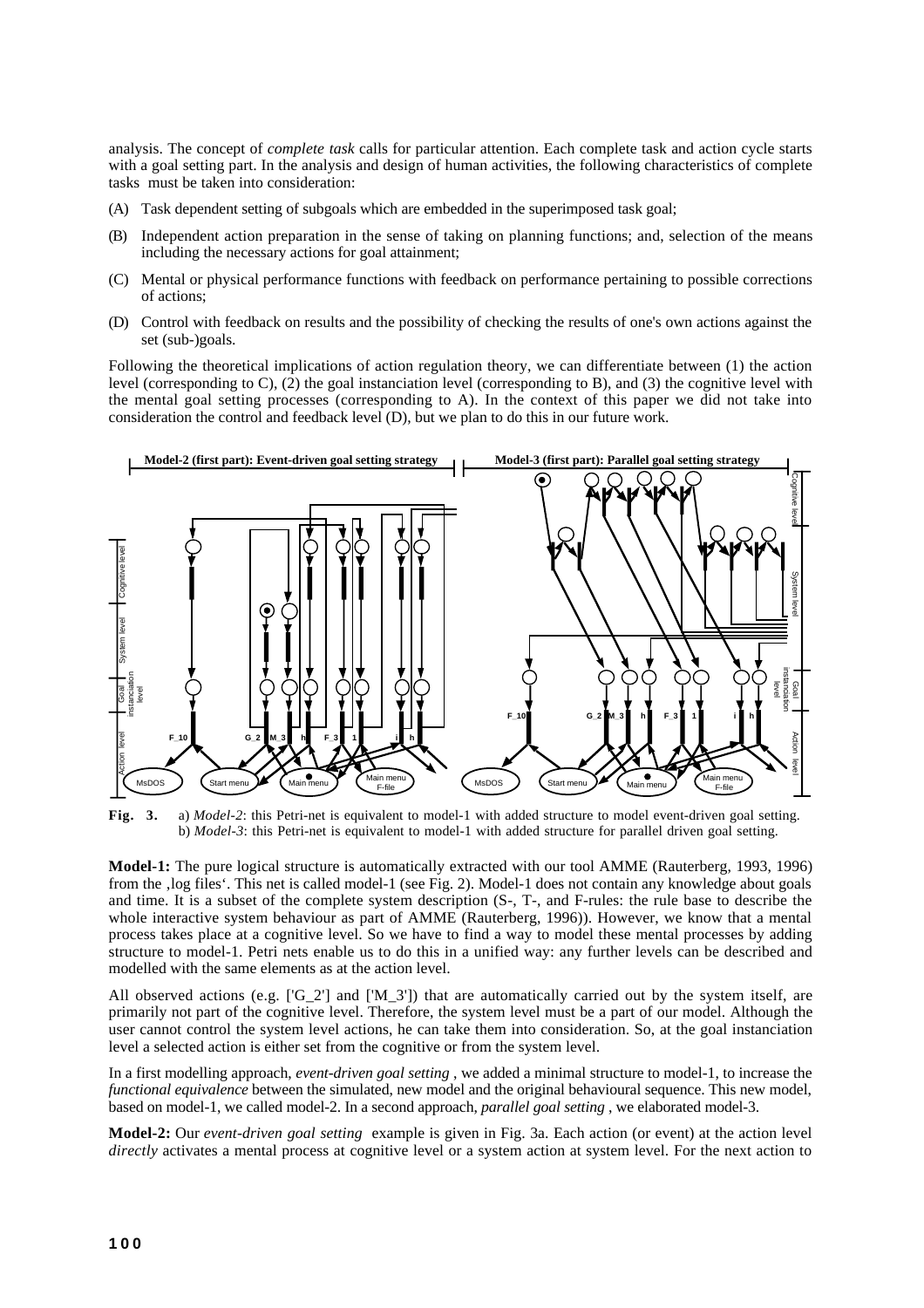analysis. The concept of *complete task* calls for particular attention. Each complete task and action cycle starts with a goal setting part. In the analysis and design of human activities, the following characteristics of complete tasks must be taken into consideration:

- (A) Task dependent setting of subgoals which are embedded in the superimposed task goal;
- (B) Independent action preparation in the sense of taking on planning functions; and, selection of the means including the necessary actions for goal attainment;
- (C) Mental or physical performance functions with feedback on performance pertaining to possible corrections of actions;
- (D) Control with feedback on results and the possibility of checking the results of one's own actions against the set (sub-)goals.

Following the theoretical implications of action regulation theory, we can differentiate between (1) the action level (corresponding to C), (2) the goal instanciation level (corresponding to B), and (3) the cognitive level with the mental goal setting processes (corresponding to A). In the context of this paper we did not take into consideration the control and feedback level (D), but we plan to do this in our future work.



**Fig. 3.** a) *Model-2*: this Petri-net is equivalent to model-1 with added structure to model event-driven goal setting. b) *Model-3*: this Petri-net is equivalent to model-1 with added structure for parallel driven goal setting.

**Model-1:** The pure logical structure is automatically extracted with our tool AMME (Rauterberg, 1993, 1996) from the , log files'. This net is called model-1 (see Fig. 2). Model-1 does not contain any knowledge about goals and time. It is a subset of the complete system description (S-, T-, and F-rules: the rule base to describe the whole interactive system behaviour as part of AMME (Rauterberg, 1996)). However, we know that a mental process takes place at a cognitive level. So we have to find a way to model these mental processes by adding structure to model-1. Petri nets enable us to do this in a unified way: any further levels can be described and modelled with the same elements as at the action level.

All observed actions (e.g.  $[\text{G} 2']$  and  $[\text{M} 3']$ ) that are automatically carried out by the system itself, are primarily not part of the cognitive level. Therefore, the system level must be a part of our model. Although the user cannot control the system level actions, he can take them into consideration. So, at the goal instanciation level a selected action is either set from the cognitive or from the system level.

In a first modelling approach, *event-driven goal setting* , we added a minimal structure to model-1, to increase the *functional equivalence* between the simulated, new model and the original behavioural sequence. This new model, based on model-1, we called model-2. In a second approach, *parallel goal setting* , we elaborated model-3.

**Model-2:** Our *event-driven goal setting* example is given in Fig. 3a. Each action (or event) at the action level *directly* activates a mental process at cognitive level or a system action at system level. For the next action to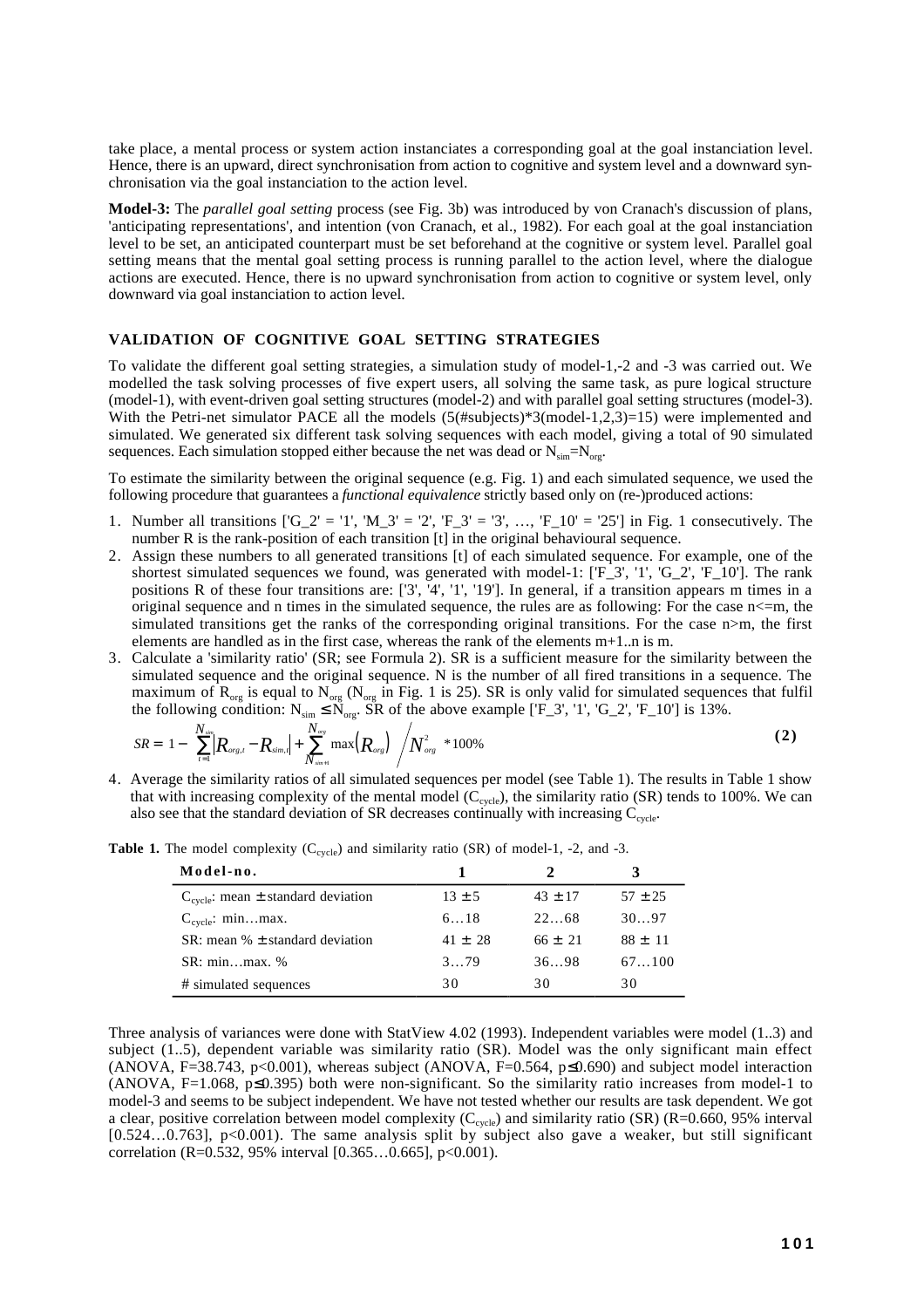take place, a mental process or system action instanciates a corresponding goal at the goal instanciation level. Hence, there is an upward, direct synchronisation from action to cognitive and system level and a downward synchronisation via the goal instanciation to the action level.

**Model-3:** The *parallel goal setting* process (see Fig. 3b) was introduced by von Cranach's discussion of plans, 'anticipating representations', and intention (von Cranach, et al., 1982). For each goal at the goal instanciation level to be set, an anticipated counterpart must be set beforehand at the cognitive or system level. Parallel goal setting means that the mental goal setting process is running parallel to the action level, where the dialogue actions are executed. Hence, there is no upward synchronisation from action to cognitive or system level, only downward via goal instanciation to action level.

#### **VALIDATION OF COGNITIVE GOAL SETTING STRATEGIES**

To validate the different goal setting strategies, a simulation study of model-1,-2 and -3 was carried out. We modelled the task solving processes of five expert users, all solving the same task, as pure logical structure (model-1), with event-driven goal setting structures (model-2) and with parallel goal setting structures (model-3). With the Petri-net simulator PACE all the models  $(5(\text{#subjects})^*3(\text{model-1},2,3)=15)$  were implemented and simulated. We generated six different task solving sequences with each model, giving a total of 90 simulated sequences. Each simulation stopped either because the net was dead or  $N_{sim} = N_{\text{core}}$ .

To estimate the similarity between the original sequence (e.g. Fig. 1) and each simulated sequence, we used the following procedure that guarantees a *functional equivalence* strictly based only on (re-)produced actions:

- 1. Number all transitions  $[G_2' = '1', 'M_3' = '2', 'F_3' = '3', ..., 'F_10' = '25']$  in Fig. 1 consecutively. The number R is the rank-position of each transition [t] in the original behavioural sequence.
- 2. Assign these numbers to all generated transitions [t] of each simulated sequence. For example, one of the shortest simulated sequences we found, was generated with model-1:  $[F_3', '1', 'G_2', 'F_1'0']$ . The rank positions R of these four transitions are: ['3', '4', '1', '19']. In general, if a transition appears m times in a original sequence and n times in the simulated sequence, the rules are as following: For the case n<=m, the simulated transitions get the ranks of the corresponding original transitions. For the case  $n>m$ , the first elements are handled as in the first case, whereas the rank of the elements  $m+1$ ...n is m.
- 3. Calculate a 'similarity ratio' (SR; see Formula 2). SR is a sufficient measure for the similarity between the simulated sequence and the original sequence. N is the number of all fired transitions in a sequence. The maximum of  $R_{org}$  is equal to  $N_{org}$  ( $N_{org}$  in Fig. 1 is 25). SR is only valid for simulated sequences that fulfil the following condition:  $N_{sim} \le N_{org}$ . SR of the above example ['F\_3', '1', 'G\_2', 'F\_10'] is 13%.

$$
SR = \left[1 - \left\{\sum_{t=1}^{N_{sim}} |R_{org,t} - R_{sim,t}| + \sum_{N_{sim+1}}^{N_{org}} \max(R_{org})\right\} / N_{org}^2\right] * 100\%
$$
 (2)

4. Average the similarity ratios of all simulated sequences per model (see Table 1). The results in Table 1 show that with increasing complexity of the mental model ( $C_{cycle}$ ), the similarity ratio (SR) tends to 100%. We can also see that the standard deviation of SR decreases continually with increasing  $C_{cycle}$ .

| Model-no.                                   |             |             |             |
|---------------------------------------------|-------------|-------------|-------------|
| $C_{cycle}$ : mean $\pm$ standard deviation | $13 \pm 5$  | $43 \pm 17$ | $57 \pm 25$ |
| $C_{cycle}$ : minmax.                       | 618         | 2268        | 3097        |
| SR: mean $% \pm$ standard deviation         | $41 \pm 28$ | $66 \pm 21$ | $88 \pm 11$ |
| $SR: minmax.$ %                             | 379         | 3698        | 67100       |
| # simulated sequences                       | 30          | 30          | 30          |

**Table 1.** The model complexity  $(C_{cycle})$  and similarity ratio (SR) of model-1, -2, and -3.

Three analysis of variances were done with StatView 4.02 (1993). Independent variables were model (1..3) and subject (1..5), dependent variable was similarity ratio (SR). Model was the only significant main effect (ANOVA, F=38.743, p<0.001), whereas subject (ANOVA, F=0.564,  $p \le 0.690$ ) and subject model interaction (ANOVA, F=1.068,  $p\leq 0.395$ ) both were non-significant. So the similarity ratio increases from model-1 to model-3 and seems to be subject independent. We have not tested whether our results are task dependent. We got a clear, positive correlation between model complexity ( $C_{cycle}$ ) and similarity ratio (SR) (R=0.660, 95% interval [0.524...0.763],  $p<0.001$ ). The same analysis split by subject also gave a weaker, but still significant correlation (R=0.532, 95% interval [0.365...0.665], p<0.001).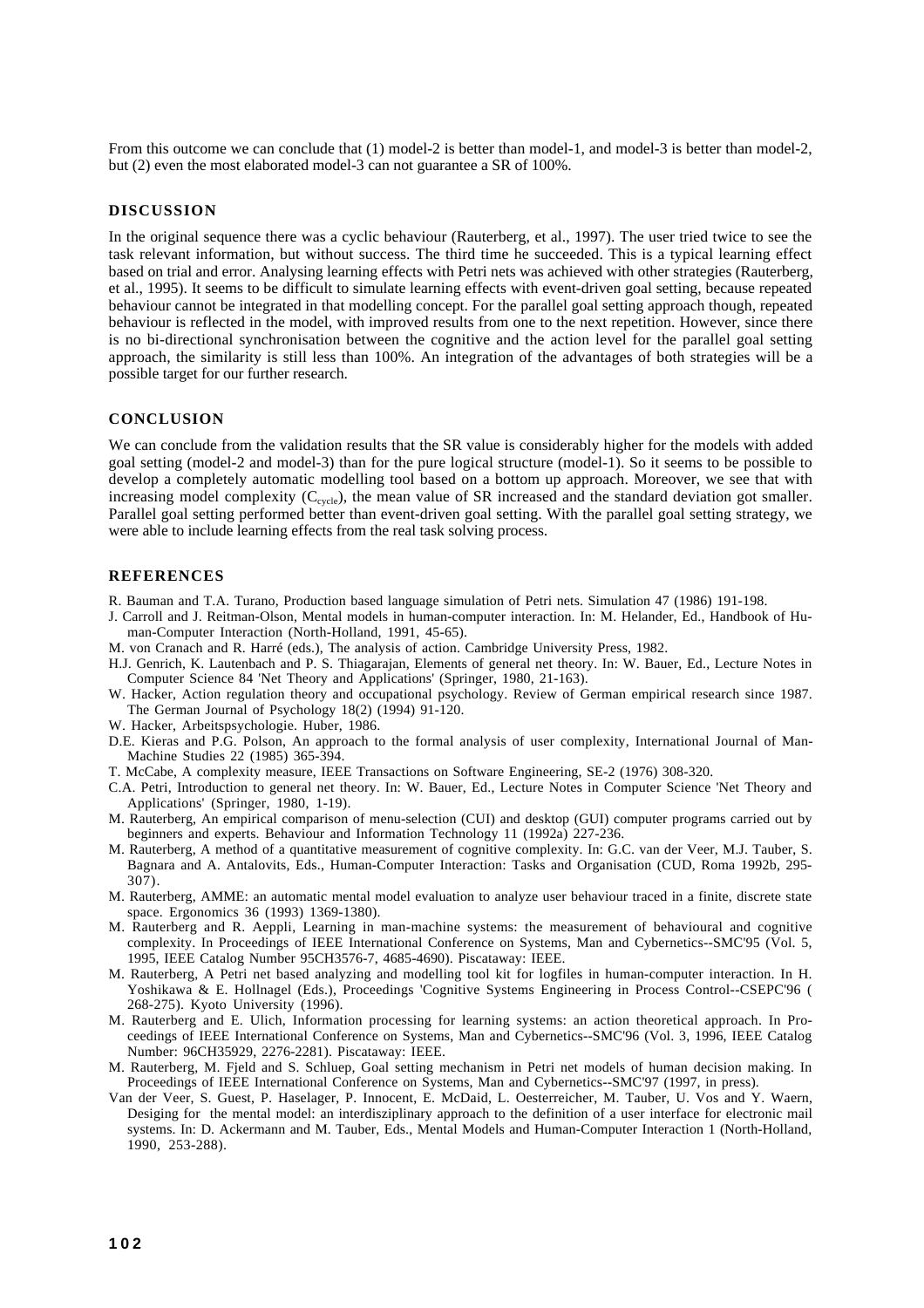From this outcome we can conclude that (1) model-2 is better than model-1, and model-3 is better than model-2, but (2) even the most elaborated model-3 can not guarantee a SR of 100%.

#### **DISCUSSION**

In the original sequence there was a cyclic behaviour (Rauterberg, et al., 1997). The user tried twice to see the task relevant information, but without success. The third time he succeeded. This is a typical learning effect based on trial and error. Analysing learning effects with Petri nets was achieved with other strategies (Rauterberg, et al., 1995). It seems to be difficult to simulate learning effects with event-driven goal setting, because repeated behaviour cannot be integrated in that modelling concept. For the parallel goal setting approach though, repeated behaviour is reflected in the model, with improved results from one to the next repetition. However, since there is no bi-directional synchronisation between the cognitive and the action level for the parallel goal setting approach, the similarity is still less than 100%. An integration of the advantages of both strategies will be a possible target for our further research.

#### **CONCLUSION**

We can conclude from the validation results that the SR value is considerably higher for the models with added goal setting (model-2 and model-3) than for the pure logical structure (model-1). So it seems to be possible to develop a completely automatic modelling tool based on a bottom up approach. Moreover, we see that with increasing model complexity  $(C_{cycle})$ , the mean value of SR increased and the standard deviation got smaller. Parallel goal setting performed better than event-driven goal setting. With the parallel goal setting strategy, we were able to include learning effects from the real task solving process.

#### **REFERENCES**

- R. Bauman and T.A. Turano, Production based language simulation of Petri nets. Simulation 47 (1986) 191-198.
- J. Carroll and J. Reitman-Olson, Mental models in human-computer interaction. In: M. Helander, Ed., Handbook of Human-Computer Interaction (North-Holland, 1991, 45-65).
- M. von Cranach and R. Harré (eds.), The analysis of action. Cambridge University Press, 1982.
- H.J. Genrich, K. Lautenbach and P. S. Thiagarajan, Elements of general net theory. In: W. Bauer, Ed., Lecture Notes in Computer Science 84 'Net Theory and Applications' (Springer, 1980, 21-163).
- W. Hacker, Action regulation theory and occupational psychology. Review of German empirical research since 1987. The German Journal of Psychology 18(2) (1994) 91-120.
- W. Hacker, Arbeitspsychologie. Huber, 1986.
- D.E. Kieras and P.G. Polson, An approach to the formal analysis of user complexity, International Journal of Man-Machine Studies 22 (1985) 365-394.
- T. McCabe, A complexity measure, IEEE Transactions on Software Engineering, SE-2 (1976) 308-320.
- C.A. Petri, Introduction to general net theory. In: W. Bauer, Ed., Lecture Notes in Computer Science 'Net Theory and Applications' (Springer, 1980, 1-19).
- M. Rauterberg, An empirical comparison of menu-selection (CUI) and desktop (GUI) computer programs carried out by beginners and experts. Behaviour and Information Technology 11 (1992a) 227-236.
- M. Rauterberg, A method of a quantitative measurement of cognitive complexity. In: G.C. van der Veer, M.J. Tauber, S. Bagnara and A. Antalovits, Eds., Human-Computer Interaction: Tasks and Organisation (CUD, Roma 1992b, 295- 307).
- M. Rauterberg, AMME: an automatic mental model evaluation to analyze user behaviour traced in a finite, discrete state space. Ergonomics 36 (1993) 1369-1380).
- M. Rauterberg and R. Aeppli, Learning in man-machine systems: the measurement of behavioural and cognitive complexity. In Proceedings of IEEE International Conference on Systems, Man and Cybernetics--SMC'95 (Vol. 5, 1995, IEEE Catalog Number 95CH3576-7, 4685-4690). Piscataway: IEEE.
- M. Rauterberg, A Petri net based analyzing and modelling tool kit for logfiles in human-computer interaction. In H. Yoshikawa & E. Hollnagel (Eds.), Proceedings 'Cognitive Systems Engineering in Process Control--CSEPC'96 ( 268-275). Kyoto University (1996).
- M. Rauterberg and E. Ulich, Information processing for learning systems: an action theoretical approach. In Proceedings of IEEE International Conference on Systems, Man and Cybernetics--SMC'96 (Vol. 3, 1996, IEEE Catalog Number: 96CH35929, 2276-2281). Piscataway: IEEE.
- M. Rauterberg, M. Fjeld and S. Schluep, Goal setting mechanism in Petri net models of human decision making. In Proceedings of IEEE International Conference on Systems, Man and Cybernetics--SMC'97 (1997, in press).
- Van der Veer, S. Guest, P. Haselager, P. Innocent, E. McDaid, L. Oesterreicher, M. Tauber, U. Vos and Y. Waern, Desiging for the mental model: an interdisziplinary approach to the definition of a user interface for electronic mail systems. In: D. Ackermann and M. Tauber, Eds., Mental Models and Human-Computer Interaction 1 (North-Holland, 1990, 253-288).